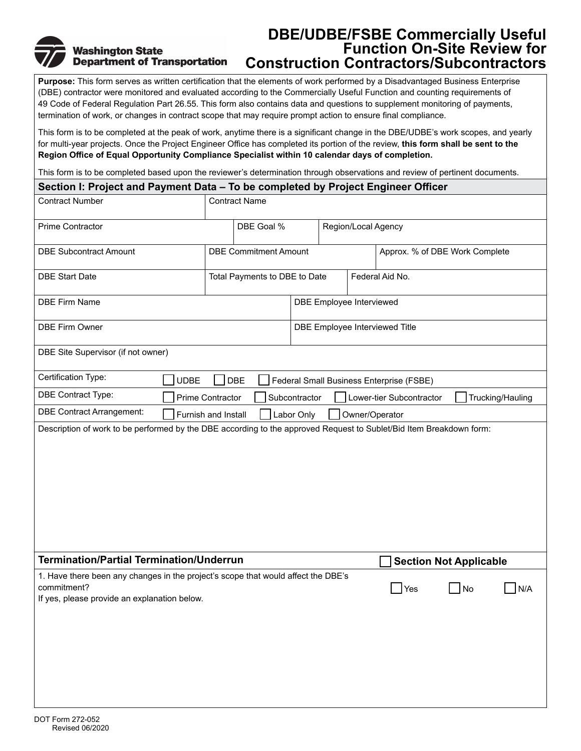# **Washington State Department of Transportation**

## **DBE/UDBE/FSBE Commercially Useful Function On-Site Review for Construction Contractors/Subcontractors**

**Purpose:** This form serves as written certification that the elements of work performed by a Disadvantaged Business Enterprise (DBE) contractor were monitored and evaluated according to the Commercially Useful Function and counting requirements of 49 Code of Federal Regulation Part 26.55. This form also contains data and questions to supplement monitoring of payments, termination of work, or changes in contract scope that may require prompt action to ensure final compliance.

This form is to be completed at the peak of work, anytime there is a significant change in the DBE/UDBE's work scopes, and yearly for multi-year projects. Once the Project Engineer Office has completed its portion of the review, **this form shall be sent to the Region Office of Equal Opportunity Compliance Specialist within 10 calendar days of completion.**

This form is to be completed based upon the reviewer's determination through observations and review of pertinent documents.

| Section I: Project and Payment Data – To be completed by Project Engineer Officer                                                                |                               |                                |                                 |                                          |     |                  |
|--------------------------------------------------------------------------------------------------------------------------------------------------|-------------------------------|--------------------------------|---------------------------------|------------------------------------------|-----|------------------|
| <b>Contract Number</b>                                                                                                                           | <b>Contract Name</b>          |                                |                                 |                                          |     |                  |
| Prime Contractor                                                                                                                                 | DBE Goal %                    |                                |                                 | Region/Local Agency                      |     |                  |
| <b>DBE Subcontract Amount</b>                                                                                                                    | <b>DBE Commitment Amount</b>  |                                |                                 | Approx. % of DBE Work Complete           |     |                  |
| <b>DBE Start Date</b>                                                                                                                            | Total Payments to DBE to Date |                                |                                 | Federal Aid No.                          |     |                  |
| <b>DBE Firm Name</b>                                                                                                                             |                               |                                | <b>DBE Employee Interviewed</b> |                                          |     |                  |
| <b>DBE Firm Owner</b>                                                                                                                            |                               | DBE Employee Interviewed Title |                                 |                                          |     |                  |
| DBE Site Supervisor (if not owner)                                                                                                               |                               |                                |                                 |                                          |     |                  |
| Certification Type:<br><b>UDBE</b>                                                                                                               | DBE                           |                                |                                 | Federal Small Business Enterprise (FSBE) |     |                  |
| DBE Contract Type:                                                                                                                               | Prime Contractor              | Subcontractor                  |                                 | Lower-tier Subcontractor                 |     | Trucking/Hauling |
| <b>DBE Contract Arrangement:</b>                                                                                                                 | Furnish and Install           | Labor Only                     | Owner/Operator                  |                                          |     |                  |
|                                                                                                                                                  |                               |                                |                                 |                                          |     |                  |
| <b>Termination/Partial Termination/Underrun</b>                                                                                                  |                               |                                |                                 | <b>Section Not Applicable</b>            |     |                  |
| 1. Have there been any changes in the project's scope that would affect the DBE's<br>commitment?<br>If yes, please provide an explanation below. |                               |                                |                                 | Yes                                      | ∣No | N/A              |
| DOT Form 272-052                                                                                                                                 |                               |                                |                                 |                                          |     |                  |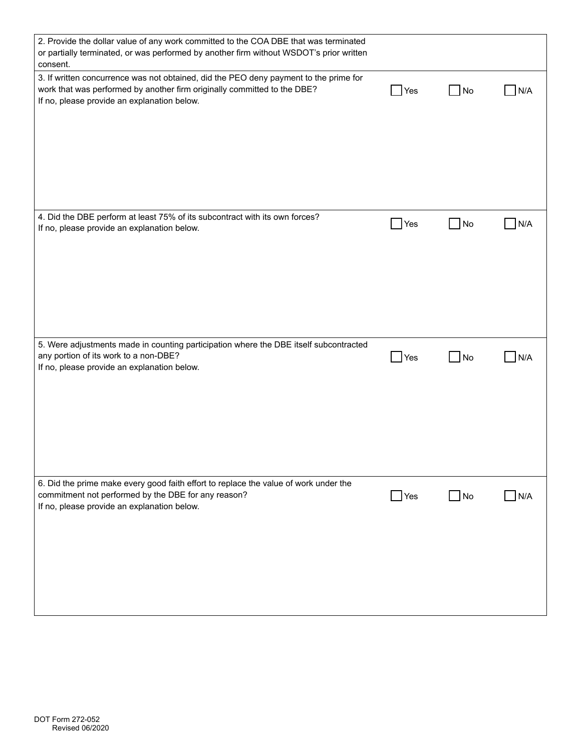| 2. Provide the dollar value of any work committed to the COA DBE that was terminated<br>or partially terminated, or was performed by another firm without WSDOT's prior written<br>consent.                      |                    |                   |                     |
|------------------------------------------------------------------------------------------------------------------------------------------------------------------------------------------------------------------|--------------------|-------------------|---------------------|
| 3. If written concurrence was not obtained, did the PEO deny payment to the prime for<br>work that was performed by another firm originally committed to the DBE?<br>If no, please provide an explanation below. | Yes                | $\blacksquare$ No | N/A                 |
| 4. Did the DBE perform at least 75% of its subcontract with its own forces?<br>If no, please provide an explanation below.                                                                                       | $\Box$ Yes         | N <sub>O</sub>    | N/A                 |
| 5. Were adjustments made in counting participation where the DBE itself subcontracted<br>any portion of its work to a non-DBE?<br>If no, please provide an explanation below.                                    | $\blacksquare$ Yes | $\Box$ No         | N/A                 |
| 6. Did the prime make every good faith effort to replace the value of work under the<br>commitment not performed by the DBE for any reason?<br>If no, please provide an explanation below.                       | $\Box$ Yes         | $\Box$ No         | N/A<br>$\mathsf{L}$ |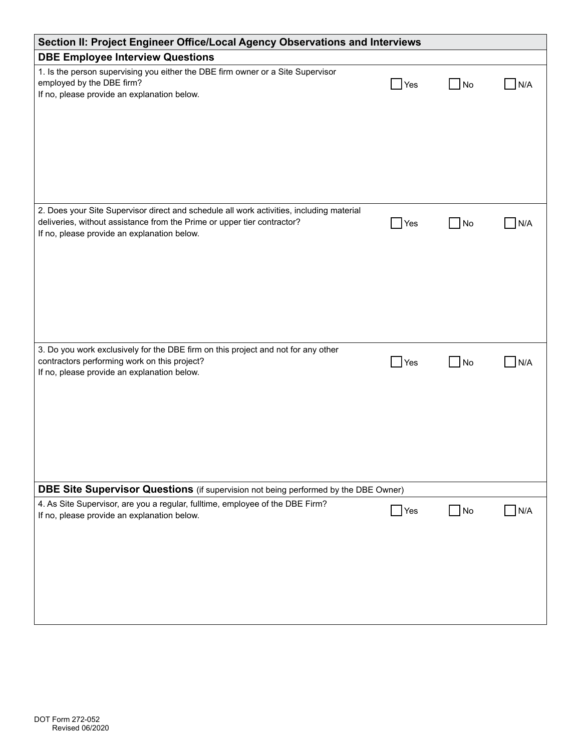| Section II: Project Engineer Office/Local Agency Observations and Interviews                                                                                                                                       |                    |                |     |  |
|--------------------------------------------------------------------------------------------------------------------------------------------------------------------------------------------------------------------|--------------------|----------------|-----|--|
| <b>DBE Employee Interview Questions</b>                                                                                                                                                                            |                    |                |     |  |
| 1. Is the person supervising you either the DBE firm owner or a Site Supervisor<br>employed by the DBE firm?<br>If no, please provide an explanation below.                                                        | Yes                | No             | N/A |  |
| 2. Does your Site Supervisor direct and schedule all work activities, including material<br>deliveries, without assistance from the Prime or upper tier contractor?<br>If no, please provide an explanation below. | Yes                | No             | N/A |  |
| 3. Do you work exclusively for the DBE firm on this project and not for any other<br>contractors performing work on this project?<br>If no, please provide an explanation below.                                   | Yes                | No             | N/A |  |
| <b>DBE Site Supervisor Questions</b> (if supervision not being performed by the DBE Owner)                                                                                                                         |                    |                |     |  |
| 4. As Site Supervisor, are you a regular, fulltime, employee of the DBE Firm?<br>If no, please provide an explanation below.                                                                                       | $\blacksquare$ Yes | N <sub>o</sub> | N/A |  |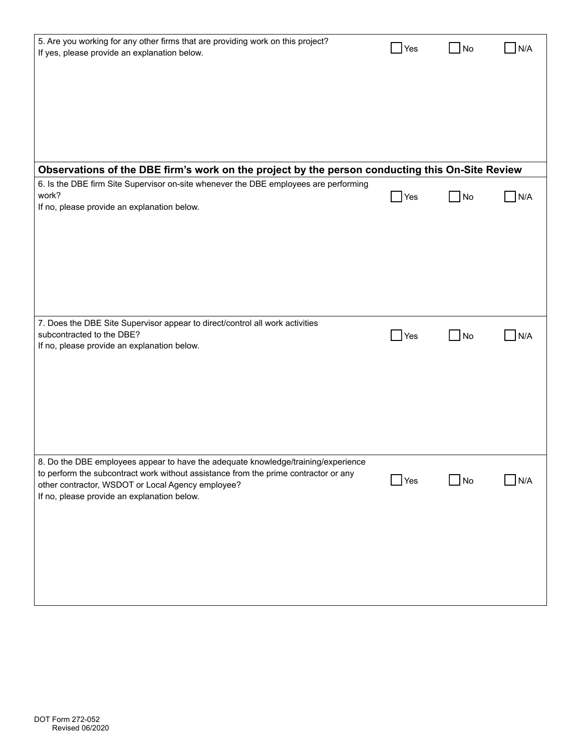| 5. Are you working for any other firms that are providing work on this project?<br>If yes, please provide an explanation below.              | Yes                | No                | N/A |
|----------------------------------------------------------------------------------------------------------------------------------------------|--------------------|-------------------|-----|
|                                                                                                                                              |                    |                   |     |
|                                                                                                                                              |                    |                   |     |
|                                                                                                                                              |                    |                   |     |
| Observations of the DBE firm's work on the project by the person conducting this On-Site Review                                              |                    |                   |     |
| 6. Is the DBE firm Site Supervisor on-site whenever the DBE employees are performing<br>work?<br>If no, please provide an explanation below. | $\blacksquare$ Yes | $\Box$ No         | N/A |
|                                                                                                                                              |                    |                   |     |
|                                                                                                                                              |                    |                   |     |
|                                                                                                                                              |                    |                   |     |
|                                                                                                                                              |                    |                   |     |
|                                                                                                                                              |                    |                   |     |
|                                                                                                                                              |                    |                   |     |
| 7. Does the DBE Site Supervisor appear to direct/control all work activities<br>subcontracted to the DBE?                                    | Yes                | <b>No</b>         | N/A |
| If no, please provide an explanation below.                                                                                                  |                    |                   |     |
|                                                                                                                                              |                    |                   |     |
|                                                                                                                                              |                    |                   |     |
|                                                                                                                                              |                    |                   |     |
|                                                                                                                                              |                    |                   |     |
|                                                                                                                                              |                    |                   |     |
| 8. Do the DBE employees appear to have the adequate knowledge/training/experience                                                            |                    |                   |     |
| to perform the subcontract work without assistance from the prime contractor or any                                                          | Yes                | $\blacksquare$ No | N/A |
| other contractor, WSDOT or Local Agency employee?<br>If no, please provide an explanation below.                                             |                    |                   |     |
|                                                                                                                                              |                    |                   |     |
|                                                                                                                                              |                    |                   |     |
|                                                                                                                                              |                    |                   |     |
|                                                                                                                                              |                    |                   |     |
|                                                                                                                                              |                    |                   |     |
|                                                                                                                                              |                    |                   |     |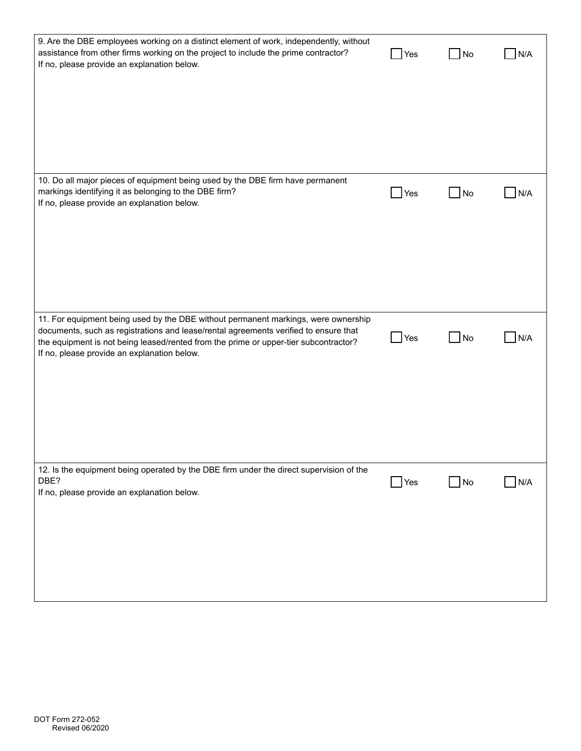| 9. Are the DBE employees working on a distinct element of work, independently, without<br>assistance from other firms working on the project to include the prime contractor?<br>If no, please provide an explanation below.                                                                                      | Yes        | <b>No</b>              | N/A |
|-------------------------------------------------------------------------------------------------------------------------------------------------------------------------------------------------------------------------------------------------------------------------------------------------------------------|------------|------------------------|-----|
|                                                                                                                                                                                                                                                                                                                   |            |                        |     |
| 10. Do all major pieces of equipment being used by the DBE firm have permanent<br>markings identifying it as belonging to the DBE firm?<br>If no, please provide an explanation below.                                                                                                                            | Yes        | <b>No</b><br>$\sim$ 10 | N/A |
|                                                                                                                                                                                                                                                                                                                   |            |                        |     |
| 11. For equipment being used by the DBE without permanent markings, were ownership<br>documents, such as registrations and lease/rental agreements verified to ensure that<br>the equipment is not being leased/rented from the prime or upper-tier subcontractor?<br>If no, please provide an explanation below. | Yes        | No                     | N/A |
|                                                                                                                                                                                                                                                                                                                   |            |                        |     |
| 12. Is the equipment being operated by the DBE firm under the direct supervision of the<br>DBE?<br>If no, please provide an explanation below.                                                                                                                                                                    | $\Box$ Yes | $\Box$ No              | N/A |
|                                                                                                                                                                                                                                                                                                                   |            |                        |     |
|                                                                                                                                                                                                                                                                                                                   |            |                        |     |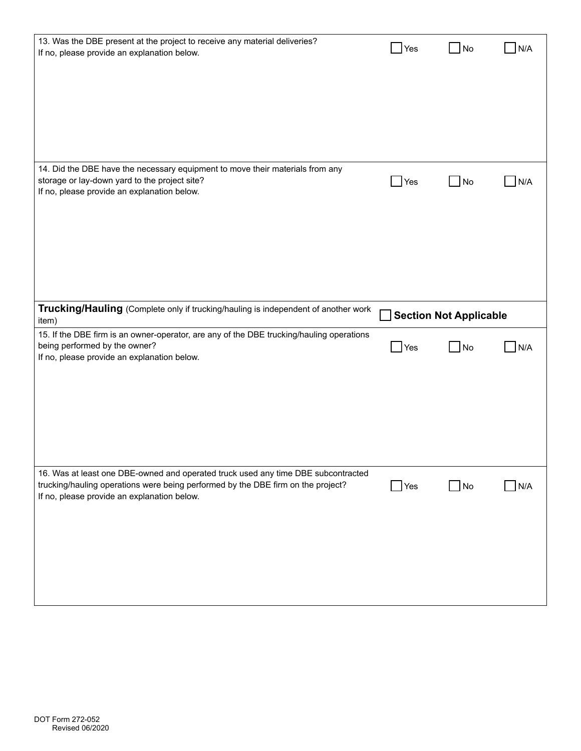| 13. Was the DBE present at the project to receive any material deliveries?<br>If no, please provide an explanation below.                                                                                            | Yes                | No                            | N/A |
|----------------------------------------------------------------------------------------------------------------------------------------------------------------------------------------------------------------------|--------------------|-------------------------------|-----|
| 14. Did the DBE have the necessary equipment to move their materials from any<br>storage or lay-down yard to the project site?<br>If no, please provide an explanation below.                                        | Yes                | No<br>$\blacksquare$          | N/A |
| Trucking/Hauling (Complete only if trucking/hauling is independent of another work<br>item)                                                                                                                          |                    | <b>Section Not Applicable</b> |     |
| 15. If the DBE firm is an owner-operator, are any of the DBE trucking/hauling operations<br>being performed by the owner?<br>If no, please provide an explanation below.                                             | Yes                | No<br>$\blacksquare$          | N/A |
| 16. Was at least one DBE-owned and operated truck used any time DBE subcontracted<br>trucking/hauling operations were being performed by the DBE firm on the project?<br>If no, please provide an explanation below. | $\blacksquare$ Yes | $\Box$ No                     | N/A |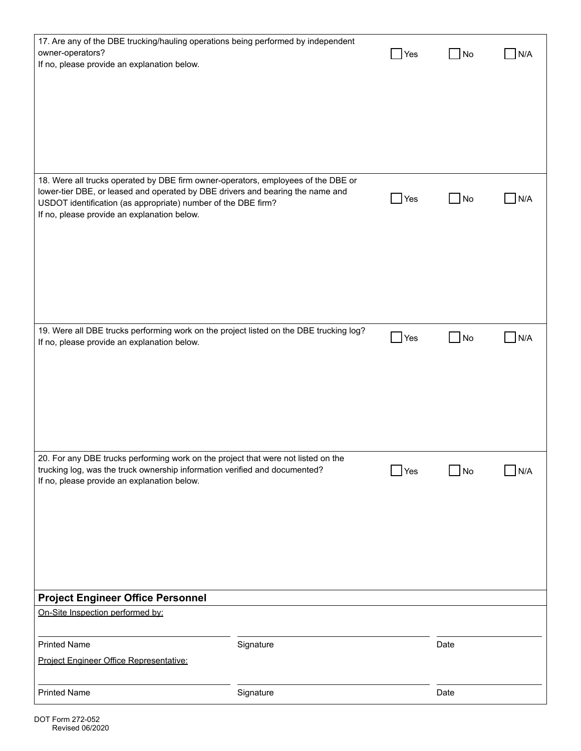| 17. Are any of the DBE trucking/hauling operations being performed by independent<br>owner-operators?<br>If no, please provide an explanation below.                                                                                                                                |           | Yes                | No   | N/A |
|-------------------------------------------------------------------------------------------------------------------------------------------------------------------------------------------------------------------------------------------------------------------------------------|-----------|--------------------|------|-----|
| 18. Were all trucks operated by DBE firm owner-operators, employees of the DBE or<br>lower-tier DBE, or leased and operated by DBE drivers and bearing the name and<br>USDOT identification (as appropriate) number of the DBE firm?<br>If no, please provide an explanation below. |           | $\blacksquare$ Yes | No   | N/A |
| 19. Were all DBE trucks performing work on the project listed on the DBE trucking log?<br>If no, please provide an explanation below.                                                                                                                                               |           | Yes                | No   | N/A |
| 20. For any DBE trucks performing work on the project that were not listed on the<br>trucking log, was the truck ownership information verified and documented?<br>If no, please provide an explanation below.                                                                      |           | $\blacksquare$ Yes | No   | N/A |
| <b>Project Engineer Office Personnel</b>                                                                                                                                                                                                                                            |           |                    |      |     |
| On-Site Inspection performed by:                                                                                                                                                                                                                                                    |           |                    |      |     |
| <b>Printed Name</b><br>Project Engineer Office Representative:                                                                                                                                                                                                                      | Signature |                    | Date |     |
| <b>Printed Name</b>                                                                                                                                                                                                                                                                 | Signature |                    | Date |     |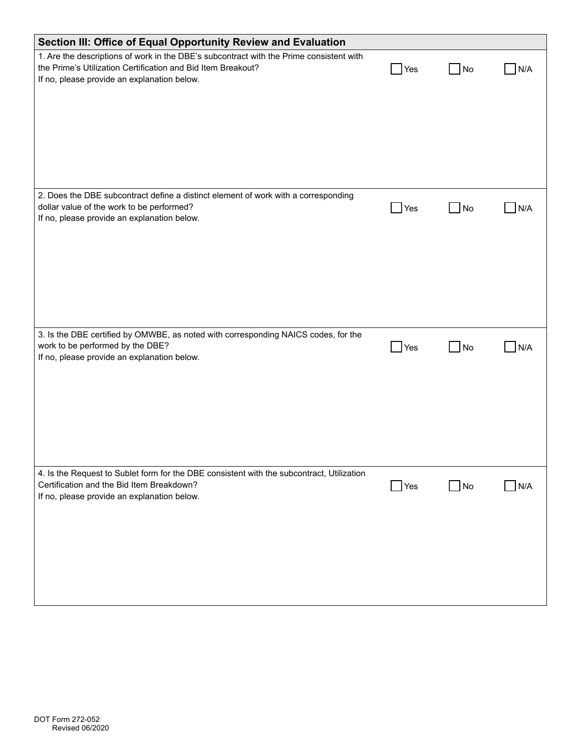| Section III: Office of Equal Opportunity Review and Evaluation                                                                                                                                         |                    |                |                        |
|--------------------------------------------------------------------------------------------------------------------------------------------------------------------------------------------------------|--------------------|----------------|------------------------|
| 1. Are the descriptions of work in the DBE's subcontract with the Prime consistent with<br>the Prime's Utilization Certification and Bid Item Breakout?<br>If no, please provide an explanation below. | <b>Yes</b>         | No.            | N/A                    |
| 2. Does the DBE subcontract define a distinct element of work with a corresponding<br>dollar value of the work to be performed?<br>If no, please provide an explanation below.                         | $\blacksquare$ Yes | N <sub>o</sub> | N/A                    |
| 3. Is the DBE certified by OMWBE, as noted with corresponding NAICS codes, for the<br>work to be performed by the DBE?<br>If no, please provide an explanation below.                                  | $\Box$ Yes         | $\Box$ No      | N/A<br><b>Contract</b> |
| 4. Is the Request to Sublet form for the DBE consistent with the subcontract, Utilization<br>Certification and the Bid Item Breakdown?<br>If no, please provide an explanation below.                  | Yes                | $\Box$ No      | N/A<br>$\mathcal{L}$   |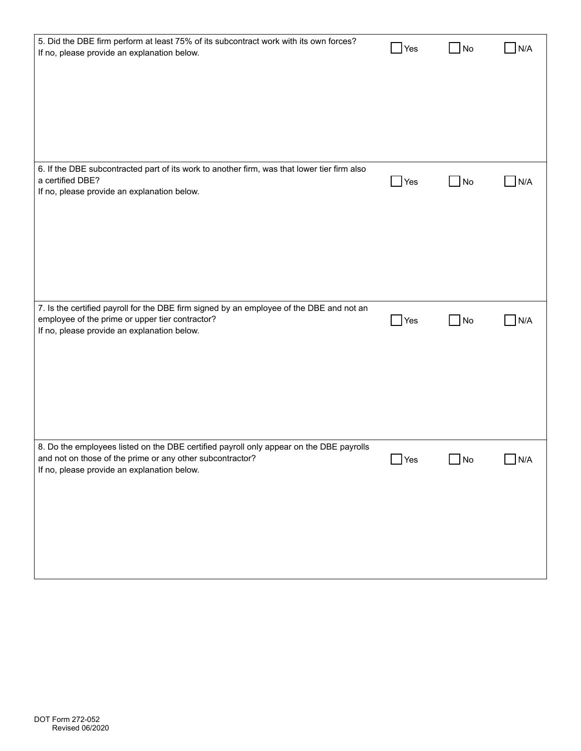| 5. Did the DBE firm perform at least 75% of its subcontract work with its own forces?<br>If no, please provide an explanation below.                                                                | $\blacksquare$ Yes | N <sub>o</sub>      | N/A |
|-----------------------------------------------------------------------------------------------------------------------------------------------------------------------------------------------------|--------------------|---------------------|-----|
|                                                                                                                                                                                                     |                    |                     |     |
|                                                                                                                                                                                                     |                    |                     |     |
|                                                                                                                                                                                                     |                    |                     |     |
| 6. If the DBE subcontracted part of its work to another firm, was that lower tier firm also<br>a certified DBE?<br>If no, please provide an explanation below.                                      | Yes                | $\Box$ No           | N/A |
|                                                                                                                                                                                                     |                    |                     |     |
|                                                                                                                                                                                                     |                    |                     |     |
|                                                                                                                                                                                                     |                    |                     |     |
| 7. Is the certified payroll for the DBE firm signed by an employee of the DBE and not an<br>employee of the prime or upper tier contractor?<br>If no, please provide an explanation below.          | $\bigcup$ Yes      | <b>No</b><br>$\sim$ | N/A |
|                                                                                                                                                                                                     |                    |                     |     |
|                                                                                                                                                                                                     |                    |                     |     |
|                                                                                                                                                                                                     |                    |                     |     |
| 8. Do the employees listed on the DBE certified payroll only appear on the DBE payrolls<br>and not on those of the prime or any other subcontractor?<br>If no, please provide an explanation below. | $\Box$ Yes         | $\Box$ No           | N/A |
|                                                                                                                                                                                                     |                    |                     |     |
|                                                                                                                                                                                                     |                    |                     |     |
|                                                                                                                                                                                                     |                    |                     |     |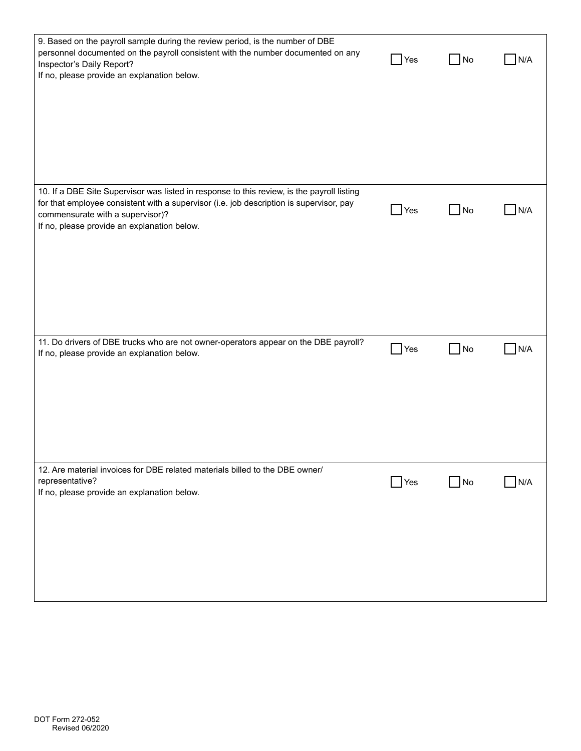| 9. Based on the payroll sample during the review period, is the number of DBE<br>personnel documented on the payroll consistent with the number documented on any<br>Inspector's Daily Report?<br>If no, please provide an explanation below.                            | Yes        | No                | N/A |
|--------------------------------------------------------------------------------------------------------------------------------------------------------------------------------------------------------------------------------------------------------------------------|------------|-------------------|-----|
| 10. If a DBE Site Supervisor was listed in response to this review, is the payroll listing<br>for that employee consistent with a supervisor (i.e. job description is supervisor, pay<br>commensurate with a supervisor)?<br>If no, please provide an explanation below. | Yes        | $\blacksquare$ No | N/A |
| 11. Do drivers of DBE trucks who are not owner-operators appear on the DBE payroll?<br>If no, please provide an explanation below.                                                                                                                                       | Yes        | No                | N/A |
| 12. Are material invoices for DBE related materials billed to the DBE owner/<br>representative?<br>If no, please provide an explanation below.                                                                                                                           | $\Box$ Yes | $\Box$ No         | N/A |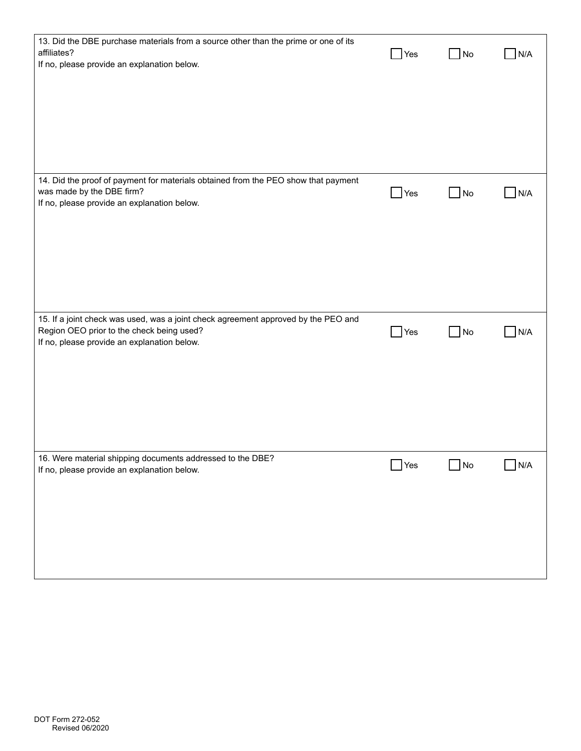| 13. Did the DBE purchase materials from a source other than the prime or one of its<br>affiliates?<br>If no, please provide an explanation below.                              | Yes           | $\blacksquare$ No | N/A |
|--------------------------------------------------------------------------------------------------------------------------------------------------------------------------------|---------------|-------------------|-----|
|                                                                                                                                                                                |               |                   |     |
|                                                                                                                                                                                |               |                   |     |
| 14. Did the proof of payment for materials obtained from the PEO show that payment<br>was made by the DBE firm?<br>If no, please provide an explanation below.                 | Yes           | $\Box$ No         | N/A |
|                                                                                                                                                                                |               |                   |     |
|                                                                                                                                                                                |               |                   |     |
| 15. If a joint check was used, was a joint check agreement approved by the PEO and<br>Region OEO prior to the check being used?<br>If no, please provide an explanation below. | $\rfloor$ Yes | $\blacksquare$ No | N/A |
|                                                                                                                                                                                |               |                   |     |
|                                                                                                                                                                                |               |                   |     |
| 16. Were material shipping documents addressed to the DBE?<br>If no, please provide an explanation below.                                                                      | Yes           | $\Box$ No         | N/A |
|                                                                                                                                                                                |               |                   |     |
|                                                                                                                                                                                |               |                   |     |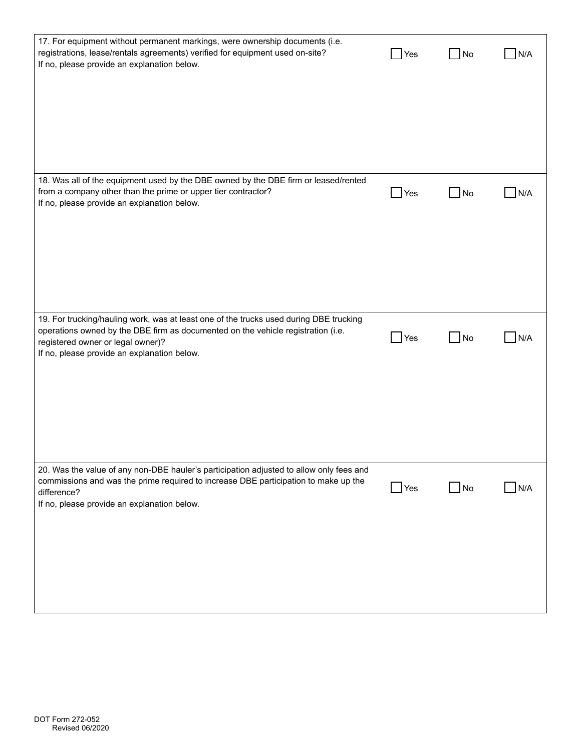| 17. For equipment without permanent markings, were ownership documents (i.e.<br>registrations, lease/rentals agreements) verified for equipment used on-site?<br>If no, please provide an explanation below.                                                   | Yes               | No             | N/A |
|----------------------------------------------------------------------------------------------------------------------------------------------------------------------------------------------------------------------------------------------------------------|-------------------|----------------|-----|
|                                                                                                                                                                                                                                                                |                   |                |     |
|                                                                                                                                                                                                                                                                |                   |                |     |
| 18. Was all of the equipment used by the DBE owned by the DBE firm or leased/rented<br>from a company other than the prime or upper tier contractor?<br>If no, please provide an explanation below.                                                            | $\bigcup$ Yes     | No             | N/A |
|                                                                                                                                                                                                                                                                |                   |                |     |
|                                                                                                                                                                                                                                                                |                   |                |     |
| 19. For trucking/hauling work, was at least one of the trucks used during DBE trucking<br>operations owned by the DBE firm as documented on the vehicle registration (i.e.<br>registered owner or legal owner)?<br>If no, please provide an explanation below. | $\big $ Yes       | <b>No</b>      | N/A |
|                                                                                                                                                                                                                                                                |                   |                |     |
|                                                                                                                                                                                                                                                                |                   |                |     |
| 20. Was the value of any non-DBE hauler's participation adjusted to allow only fees and<br>commissions and was the prime required to increase DBE participation to make up the<br>difference?<br>If no, please provide an explanation below.                   | $\mathsf{\r}$ Yes | N <sub>o</sub> | N/A |
|                                                                                                                                                                                                                                                                |                   |                |     |
|                                                                                                                                                                                                                                                                |                   |                |     |
|                                                                                                                                                                                                                                                                |                   |                |     |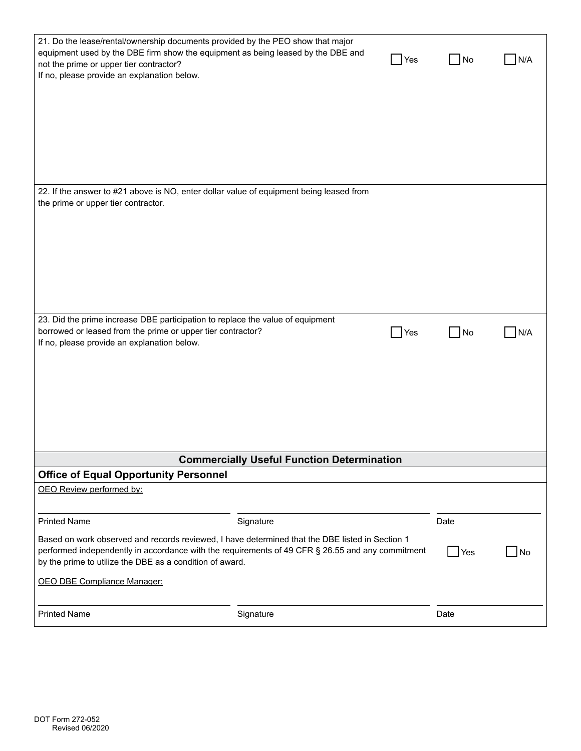| 21. Do the lease/rental/ownership documents provided by the PEO show that major<br>not the prime or upper tier contractor?<br>If no, please provide an explanation below.                                                                                                                             | equipment used by the DBE firm show the equipment as being leased by the DBE and        | <b>Yes</b>         | No         | N/A |
|-------------------------------------------------------------------------------------------------------------------------------------------------------------------------------------------------------------------------------------------------------------------------------------------------------|-----------------------------------------------------------------------------------------|--------------------|------------|-----|
|                                                                                                                                                                                                                                                                                                       |                                                                                         |                    |            |     |
| the prime or upper tier contractor.                                                                                                                                                                                                                                                                   | 22. If the answer to #21 above is NO, enter dollar value of equipment being leased from |                    |            |     |
| 23. Did the prime increase DBE participation to replace the value of equipment<br>borrowed or leased from the prime or upper tier contractor?<br>If no, please provide an explanation below.                                                                                                          | <b>Commercially Useful Function Determination</b>                                       | $\blacksquare$ Yes | <b>No</b>  | N/A |
| <b>Office of Equal Opportunity Personnel</b>                                                                                                                                                                                                                                                          |                                                                                         |                    |            |     |
| OEO Review performed by:                                                                                                                                                                                                                                                                              |                                                                                         |                    |            |     |
| <b>Printed Name</b>                                                                                                                                                                                                                                                                                   | Signature                                                                               |                    | Date       |     |
| Based on work observed and records reviewed, I have determined that the DBE listed in Section 1<br>performed independently in accordance with the requirements of 49 CFR § 26.55 and any commitment<br>by the prime to utilize the DBE as a condition of award.<br><b>OEO DBE Compliance Manager:</b> |                                                                                         |                    | <b>Yes</b> | No  |
| <b>Printed Name</b>                                                                                                                                                                                                                                                                                   | Signature                                                                               |                    | Date       |     |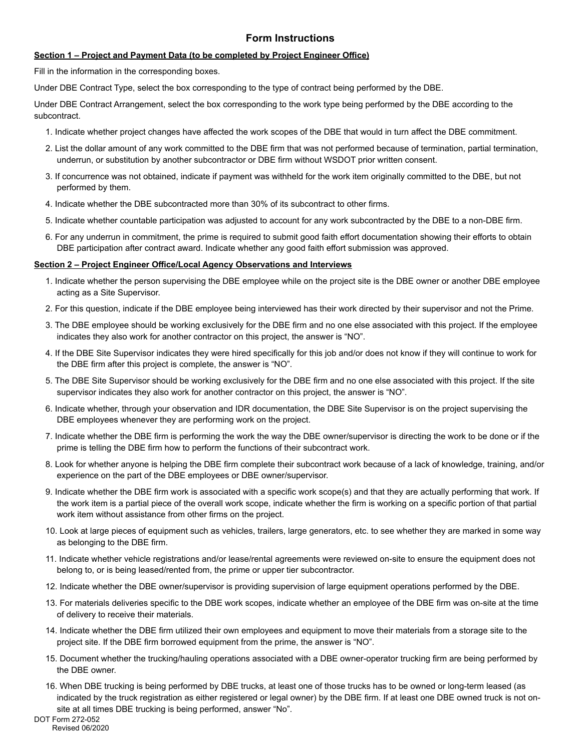### **Form Instructions**

#### **Section 1 – Project and Payment Data (to be completed by Project Engineer Office)**

Fill in the information in the corresponding boxes.

Under DBE Contract Type, select the box corresponding to the type of contract being performed by the DBE.

Under DBE Contract Arrangement, select the box corresponding to the work type being performed by the DBE according to the subcontract.

- 1. Indicate whether project changes have affected the work scopes of the DBE that would in turn affect the DBE commitment.
- 2. List the dollar amount of any work committed to the DBE firm that was not performed because of termination, partial termination, underrun, or substitution by another subcontractor or DBE firm without WSDOT prior written consent.
- 3. If concurrence was not obtained, indicate if payment was withheld for the work item originally committed to the DBE, but not performed by them.
- 4. Indicate whether the DBE subcontracted more than 30% of its subcontract to other firms.
- 5. Indicate whether countable participation was adjusted to account for any work subcontracted by the DBE to a non-DBE firm.
- 6. For any underrun in commitment, the prime is required to submit good faith effort documentation showing their efforts to obtain DBE participation after contract award. Indicate whether any good faith effort submission was approved.

#### **Section 2 – Project Engineer Office/Local Agency Observations and Interviews**

- 1. Indicate whether the person supervising the DBE employee while on the project site is the DBE owner or another DBE employee acting as a Site Supervisor.
- 2. For this question, indicate if the DBE employee being interviewed has their work directed by their supervisor and not the Prime.
- 3. The DBE employee should be working exclusively for the DBE firm and no one else associated with this project. If the employee indicates they also work for another contractor on this project, the answer is "NO".
- 4. If the DBE Site Supervisor indicates they were hired specifically for this job and/or does not know if they will continue to work for the DBE firm after this project is complete, the answer is "NO".
- 5. The DBE Site Supervisor should be working exclusively for the DBE firm and no one else associated with this project. If the site supervisor indicates they also work for another contractor on this project, the answer is "NO".
- 6. Indicate whether, through your observation and IDR documentation, the DBE Site Supervisor is on the project supervising the DBE employees whenever they are performing work on the project.
- 7. Indicate whether the DBE firm is performing the work the way the DBE owner/supervisor is directing the work to be done or if the prime is telling the DBE firm how to perform the functions of their subcontract work.
- 8. Look for whether anyone is helping the DBE firm complete their subcontract work because of a lack of knowledge, training, and/or experience on the part of the DBE employees or DBE owner/supervisor.
- 9. Indicate whether the DBE firm work is associated with a specific work scope(s) and that they are actually performing that work. If the work item is a partial piece of the overall work scope, indicate whether the firm is working on a specific portion of that partial work item without assistance from other firms on the project.
- 10. Look at large pieces of equipment such as vehicles, trailers, large generators, etc. to see whether they are marked in some way as belonging to the DBE firm.
- 11. Indicate whether vehicle registrations and/or lease/rental agreements were reviewed on-site to ensure the equipment does not belong to, or is being leased/rented from, the prime or upper tier subcontractor.
- 12. Indicate whether the DBE owner/supervisor is providing supervision of large equipment operations performed by the DBE.
- 13. For materials deliveries specific to the DBE work scopes, indicate whether an employee of the DBE firm was on-site at the time of delivery to receive their materials.
- 14. Indicate whether the DBE firm utilized their own employees and equipment to move their materials from a storage site to the project site. If the DBE firm borrowed equipment from the prime, the answer is "NO".
- 15. Document whether the trucking/hauling operations associated with a DBE owner-operator trucking firm are being performed by the DBE owner.
- 16. When DBE trucking is being performed by DBE trucks, at least one of those trucks has to be owned or long-term leased (as indicated by the truck registration as either registered or legal owner) by the DBE firm. If at least one DBE owned truck is not onsite at all times DBE trucking is being performed, answer "No".

DOT Form 272-052 Revised 06/2020